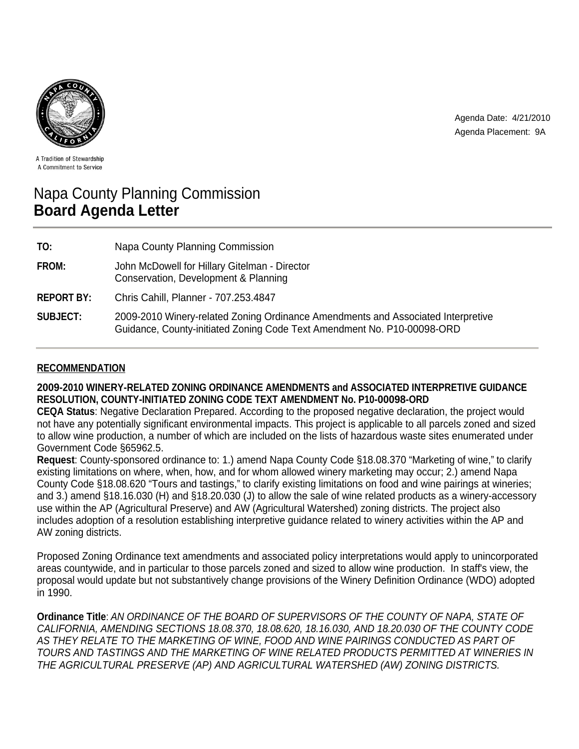

Agenda Date: 4/21/2010 Agenda Placement: 9A

A Tradition of Stewardship A Commitment to Service

# Napa County Planning Commission **Board Agenda Letter**

| TO:               | Napa County Planning Commission                                                                                                                             |
|-------------------|-------------------------------------------------------------------------------------------------------------------------------------------------------------|
| FROM:             | John McDowell for Hillary Gitelman - Director<br>Conservation, Development & Planning                                                                       |
| <b>REPORT BY:</b> | Chris Cahill, Planner - 707.253.4847                                                                                                                        |
| <b>SUBJECT:</b>   | 2009-2010 Winery-related Zoning Ordinance Amendments and Associated Interpretive<br>Guidance, County-initiated Zoning Code Text Amendment No. P10-00098-ORD |

# **RECOMMENDATION**

# **2009-2010 WINERY-RELATED ZONING ORDINANCE AMENDMENTS and ASSOCIATED INTERPRETIVE GUIDANCE RESOLUTION, COUNTY-INITIATED ZONING CODE TEXT AMENDMENT No. P10-00098-ORD**

**CEQA Status**: Negative Declaration Prepared. According to the proposed negative declaration, the project would not have any potentially significant environmental impacts. This project is applicable to all parcels zoned and sized to allow wine production, a number of which are included on the lists of hazardous waste sites enumerated under Government Code §65962.5.

**Request**: County-sponsored ordinance to: 1.) amend Napa County Code §18.08.370 "Marketing of wine," to clarify existing limitations on where, when, how, and for whom allowed winery marketing may occur; 2.) amend Napa County Code §18.08.620 "Tours and tastings," to clarify existing limitations on food and wine pairings at wineries; and 3.) amend §18.16.030 (H) and §18.20.030 (J) to allow the sale of wine related products as a winery-accessory use within the AP (Agricultural Preserve) and AW (Agricultural Watershed) zoning districts. The project also includes adoption of a resolution establishing interpretive guidance related to winery activities within the AP and AW zoning districts.

Proposed Zoning Ordinance text amendments and associated policy interpretations would apply to unincorporated areas countywide, and in particular to those parcels zoned and sized to allow wine production. In staff's view, the proposal would update but not substantively change provisions of the Winery Definition Ordinance (WDO) adopted in 1990.

**Ordinance Title**: *AN ORDINANCE OF THE BOARD OF SUPERVISORS OF THE COUNTY OF NAPA, STATE OF CALIFORNIA, AMENDING SECTIONS 18.08.370, 18.08.620, 18.16.030, AND 18.20.030 OF THE COUNTY CODE AS THEY RELATE TO THE MARKETING OF WINE, FOOD AND WINE PAIRINGS CONDUCTED AS PART OF TOURS AND TASTINGS AND THE MARKETING OF WINE RELATED PRODUCTS PERMITTED AT WINERIES IN THE AGRICULTURAL PRESERVE (AP) AND AGRICULTURAL WATERSHED (AW) ZONING DISTRICTS.*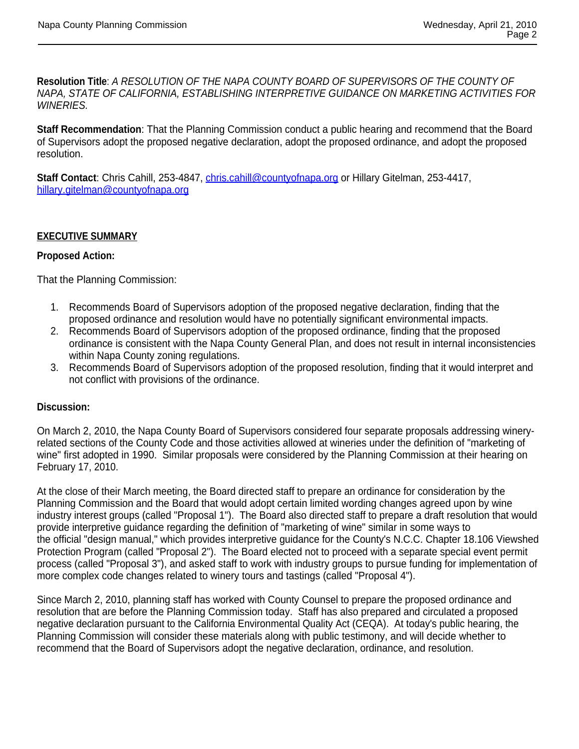**Resolution Title**: *A RESOLUTION OF THE NAPA COUNTY BOARD OF SUPERVISORS OF THE COUNTY OF NAPA, STATE OF CALIFORNIA, ESTABLISHING INTERPRETIVE GUIDANCE ON MARKETING ACTIVITIES FOR WINERIES.* 

**Staff Recommendation**: That the Planning Commission conduct a public hearing and recommend that the Board of Supervisors adopt the proposed negative declaration, adopt the proposed ordinance, and adopt the proposed resolution.

**Staff Contact**: Chris Cahill, 253-4847, chris.cahill@countyofnapa.org or Hillary Gitelman, 253-4417, hillary.gitelman@countyofnapa.org

# **EXECUTIVE SUMMARY**

## **Proposed Action:**

That the Planning Commission:

- 1. Recommends Board of Supervisors adoption of the proposed negative declaration, finding that the proposed ordinance and resolution would have no potentially significant environmental impacts.
- 2. Recommends Board of Supervisors adoption of the proposed ordinance, finding that the proposed ordinance is consistent with the Napa County General Plan, and does not result in internal inconsistencies within Napa County zoning regulations.
- 3. Recommends Board of Supervisors adoption of the proposed resolution, finding that it would interpret and not conflict with provisions of the ordinance.

#### **Discussion:**

On March 2, 2010, the Napa County Board of Supervisors considered four separate proposals addressing wineryrelated sections of the County Code and those activities allowed at wineries under the definition of "marketing of wine" first adopted in 1990. Similar proposals were considered by the Planning Commission at their hearing on February 17, 2010.

At the close of their March meeting, the Board directed staff to prepare an ordinance for consideration by the Planning Commission and the Board that would adopt certain limited wording changes agreed upon by wine industry interest groups (called "Proposal 1"). The Board also directed staff to prepare a draft resolution that would provide interpretive guidance regarding the definition of "marketing of wine" similar in some ways to the official "design manual," which provides interpretive guidance for the County's N.C.C. Chapter 18.106 Viewshed Protection Program (called "Proposal 2"). The Board elected not to proceed with a separate special event permit process (called "Proposal 3"), and asked staff to work with industry groups to pursue funding for implementation of more complex code changes related to winery tours and tastings (called "Proposal 4").

Since March 2, 2010, planning staff has worked with County Counsel to prepare the proposed ordinance and resolution that are before the Planning Commission today. Staff has also prepared and circulated a proposed negative declaration pursuant to the California Environmental Quality Act (CEQA). At today's public hearing, the Planning Commission will consider these materials along with public testimony, and will decide whether to recommend that the Board of Supervisors adopt the negative declaration, ordinance, and resolution.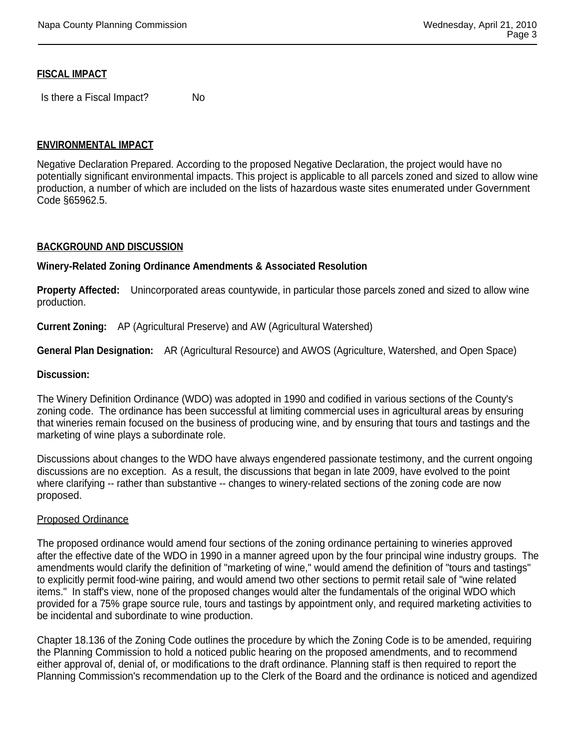## **FISCAL IMPACT**

Is there a Fiscal Impact? No

# **ENVIRONMENTAL IMPACT**

Negative Declaration Prepared. According to the proposed Negative Declaration, the project would have no potentially significant environmental impacts. This project is applicable to all parcels zoned and sized to allow wine production, a number of which are included on the lists of hazardous waste sites enumerated under Government Code §65962.5.

#### **BACKGROUND AND DISCUSSION**

#### **Winery-Related Zoning Ordinance Amendments & Associated Resolution**

**Property Affected:** Unincorporated areas countywide, in particular those parcels zoned and sized to allow wine production.

**Current Zoning:** AP (Agricultural Preserve) and AW (Agricultural Watershed)

**General Plan Designation:** AR (Agricultural Resource) and AWOS (Agriculture, Watershed, and Open Space)

#### **Discussion:**

The Winery Definition Ordinance (WDO) was adopted in 1990 and codified in various sections of the County's zoning code. The ordinance has been successful at limiting commercial uses in agricultural areas by ensuring that wineries remain focused on the business of producing wine, and by ensuring that tours and tastings and the marketing of wine plays a subordinate role.

Discussions about changes to the WDO have always engendered passionate testimony, and the current ongoing discussions are no exception. As a result, the discussions that began in late 2009, have evolved to the point where clarifying -- rather than substantive -- changes to winery-related sections of the zoning code are now proposed.

#### Proposed Ordinance

The proposed ordinance would amend four sections of the zoning ordinance pertaining to wineries approved after the effective date of the WDO in 1990 in a manner agreed upon by the four principal wine industry groups. The amendments would clarify the definition of "marketing of wine," would amend the definition of "tours and tastings" to explicitly permit food-wine pairing, and would amend two other sections to permit retail sale of "wine related items." In staff's view, none of the proposed changes would alter the fundamentals of the original WDO which provided for a 75% grape source rule, tours and tastings by appointment only, and required marketing activities to be incidental and subordinate to wine production.

Chapter 18.136 of the Zoning Code outlines the procedure by which the Zoning Code is to be amended, requiring the Planning Commission to hold a noticed public hearing on the proposed amendments, and to recommend either approval of, denial of, or modifications to the draft ordinance. Planning staff is then required to report the Planning Commission's recommendation up to the Clerk of the Board and the ordinance is noticed and agendized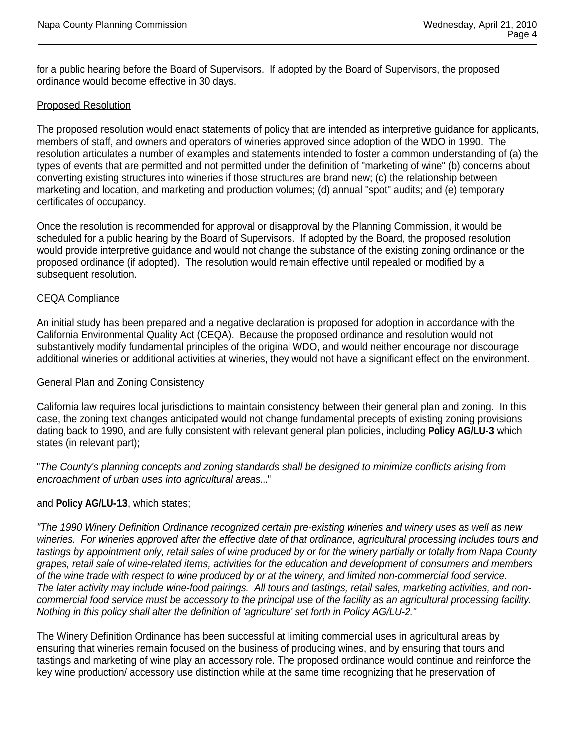for a public hearing before the Board of Supervisors. If adopted by the Board of Supervisors, the proposed ordinance would become effective in 30 days.

## Proposed Resolution

The proposed resolution would enact statements of policy that are intended as interpretive guidance for applicants, members of staff, and owners and operators of wineries approved since adoption of the WDO in 1990. The resolution articulates a number of examples and statements intended to foster a common understanding of (a) the types of events that are permitted and not permitted under the definition of "marketing of wine" (b) concerns about converting existing structures into wineries if those structures are brand new; (c) the relationship between marketing and location, and marketing and production volumes; (d) annual "spot" audits; and (e) temporary certificates of occupancy.

Once the resolution is recommended for approval or disapproval by the Planning Commission, it would be scheduled for a public hearing by the Board of Supervisors. If adopted by the Board, the proposed resolution would provide interpretive guidance and would not change the substance of the existing zoning ordinance or the proposed ordinance (if adopted). The resolution would remain effective until repealed or modified by a subsequent resolution.

## CEQA Compliance

An initial study has been prepared and a negative declaration is proposed for adoption in accordance with the California Environmental Quality Act (CEQA). Because the proposed ordinance and resolution would not substantively modify fundamental principles of the original WDO, and would neither encourage nor discourage additional wineries or additional activities at wineries, they would not have a significant effect on the environment.

#### General Plan and Zoning Consistency

California law requires local jurisdictions to maintain consistency between their general plan and zoning. In this case, the zoning text changes anticipated would not change fundamental precepts of existing zoning provisions dating back to 1990, and are fully consistent with relevant general plan policies, including **Policy AG/LU-3** which states (in relevant part);

"*The County's planning concepts and zoning standards shall be designed to minimize conflicts arising from encroachment of urban uses into agricultural areas*..."

#### and **Policy AG/LU-13**, which states;

*"The 1990 Winery Definition Ordinance recognized certain pre-existing wineries and winery uses as well as new wineries. For wineries approved after the effective date of that ordinance, agricultural processing includes tours and*  tastings by appointment only, retail sales of wine produced by or for the winery partially or totally from Napa County *grapes, retail sale of wine-related items, activities for the education and development of consumers and members of the wine trade with respect to wine produced by or at the winery, and limited non-commercial food service. The later activity may include wine-food pairings. All tours and tastings, retail sales, marketing activities, and noncommercial food service must be accessory to the principal use of the facility as an agricultural processing facility. Nothing in this policy shall alter the definition of 'agriculture' set forth in Policy AG/LU-2."*

The Winery Definition Ordinance has been successful at limiting commercial uses in agricultural areas by ensuring that wineries remain focused on the business of producing wines, and by ensuring that tours and tastings and marketing of wine play an accessory role. The proposed ordinance would continue and reinforce the key wine production/ accessory use distinction while at the same time recognizing that he preservation of